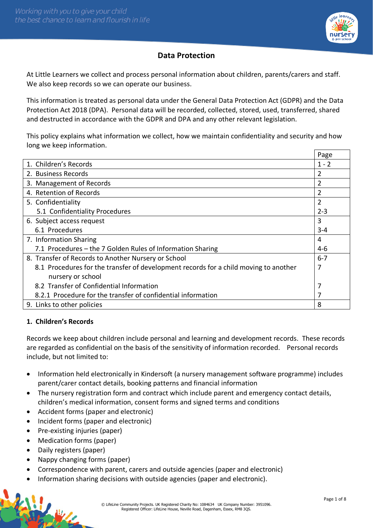

# **Data Protection**

At Little Learners we collect and process personal information about children, parents/carers and staff. We also keep records so we can operate our business.

This information is treated as personal data under the General Data Protection Act (GDPR) and the Data Protection Act 2018 (DPA). Personal data will be recorded, collected, stored, used, transferred, shared and destructed in accordance with the GDPR and DPA and any other relevant legislation.

This policy explains what information we collect, how we maintain confidentiality and security and how long we keep information.

|                                                                                      | Page    |
|--------------------------------------------------------------------------------------|---------|
| 1. Children's Records                                                                | $1 - 2$ |
| 2. Business Records                                                                  | 2       |
| 3. Management of Records                                                             | 2       |
| 4. Retention of Records                                                              | 2       |
| 5. Confidentiality                                                                   | 2       |
| 5.1 Confidentiality Procedures                                                       | $2 - 3$ |
| 6. Subject access request                                                            | 3       |
| 6.1 Procedures                                                                       | 3-4     |
| 7. Information Sharing                                                               | 4       |
| 7.1 Procedures – the 7 Golden Rules of Information Sharing                           | 4-6     |
| 8. Transfer of Records to Another Nursery or School                                  | $6 - 7$ |
| 8.1 Procedures for the transfer of development records for a child moving to another | 7       |
| nursery or school                                                                    |         |
| 8.2 Transfer of Confidential Information                                             | 7       |
| 8.2.1 Procedure for the transfer of confidential information                         |         |
| 9. Links to other policies                                                           | 8       |

### **1. Children's Records**

Records we keep about children include personal and learning and development records. These records are regarded as confidential on the basis of the sensitivity of information recorded. Personal records include, but not limited to:

- Information held electronically in Kindersoft (a nursery management software programme) includes parent/carer contact details, booking patterns and financial information
- The nursery registration form and contract which include parent and emergency contact details, children's medical information, consent forms and signed terms and conditions
- Accident forms (paper and electronic)
- Incident forms (paper and electronic)
- Pre-existing injuries (paper)
- Medication forms (paper)
- Daily registers (paper)
- Nappy changing forms (paper)
- Correspondence with parent, carers and outside agencies (paper and electronic)
- Information sharing decisions with outside agencies (paper and electronic).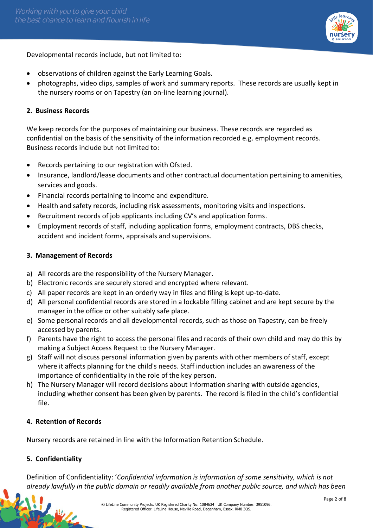

Developmental records include, but not limited to:

- observations of children against the Early Learning Goals.
- photographs, video clips, samples of work and summary reports. These records are usually kept in the nursery rooms or on Tapestry (an on-line learning journal).

### **2. Business Records**

We keep records for the purposes of maintaining our business. These records are regarded as confidential on the basis of the sensitivity of the information recorded e.g. employment records. Business records include but not limited to:

- Records pertaining to our registration with Ofsted.
- Insurance, landlord/lease documents and other contractual documentation pertaining to amenities, services and goods.
- Financial records pertaining to income and expenditure.
- Health and safety records, including risk assessments, monitoring visits and inspections.
- Recruitment records of job applicants including CV's and application forms.
- Employment records of staff, including application forms, employment contracts, DBS checks, accident and incident forms, appraisals and supervisions.

### **3. Management of Records**

- a) All records are the responsibility of the Nursery Manager.
- b) Electronic records are securely stored and encrypted where relevant.
- c) All paper records are kept in an orderly way in files and filing is kept up-to-date.
- d) All personal confidential records are stored in a lockable filling cabinet and are kept secure by the manager in the office or other suitably safe place.
- e) Some personal records and all developmental records, such as those on Tapestry, can be freely accessed by parents.
- f) Parents have the right to access the personal files and records of their own child and may do this by making a Subject Access Request to the Nursery Manager.
- g) Staff will not discuss personal information given by parents with other members of staff, except where it affects planning for the child's needs. Staff induction includes an awareness of the importance of confidentiality in the role of the key person.
- h) The Nursery Manager will record decisions about information sharing with outside agencies, including whether consent has been given by parents. The record is filed in the child's confidential file.

### **4. Retention of Records**

Nursery records are retained in line with the Information Retention Schedule.

### **5. Confidentiality**

Definition of Confidentiality: '*Confidential information is information of some sensitivity, which is not already lawfully in the public domain or readily available from another public source, and which has been*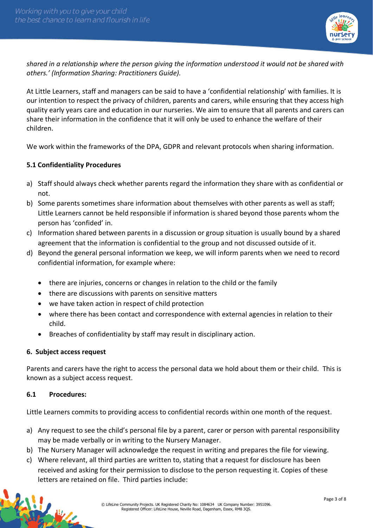

*shared in a relationship where the person giving the information understood it would not be shared with others.' (Information Sharing: Practitioners Guide).*

At Little Learners, staff and managers can be said to have a 'confidential relationship' with families. It is our intention to respect the privacy of children, parents and carers, while ensuring that they access high quality early years care and education in our nurseries. We aim to ensure that all parents and carers can share their information in the confidence that it will only be used to enhance the welfare of their children.

We work within the frameworks of the DPA, GDPR and relevant protocols when sharing information.

### **5.1 Confidentiality Procedures**

- a) Staff should always check whether parents regard the information they share with as confidential or not.
- b) Some parents sometimes share information about themselves with other parents as well as staff; Little Learners cannot be held responsible if information is shared beyond those parents whom the person has 'confided' in.
- c) Information shared between parents in a discussion or group situation is usually bound by a shared agreement that the information is confidential to the group and not discussed outside of it.
- d) Beyond the general personal information we keep, we will inform parents when we need to record confidential information, for example where:
	- there are injuries, concerns or changes in relation to the child or the family
	- there are discussions with parents on sensitive matters
	- we have taken action in respect of child protection
	- where there has been contact and correspondence with external agencies in relation to their child.
	- Breaches of confidentiality by staff may result in disciplinary action.

#### **6. Subject access request**

Parents and carers have the right to access the personal data we hold about them or their child. This is known as a subject access request.

#### **6.1 Procedures:**

Little Learners commits to providing access to confidential records within one month of the request.

- a) Any request to see the child's personal file by a parent, carer or person with parental responsibility may be made verbally or in writing to the Nursery Manager.
- b) The Nursery Manager will acknowledge the request in writing and prepares the file for viewing.
- c) Where relevant, all third parties are written to, stating that a request for disclosure has been received and asking for their permission to disclose to the person requesting it. Copies of these letters are retained on file. Third parties include: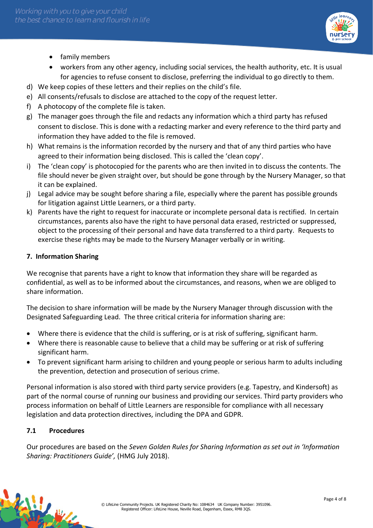

- family members
- workers from any other agency, including social services, the health authority, etc. It is usual for agencies to refuse consent to disclose, preferring the individual to go directly to them.
- d) We keep copies of these letters and their replies on the child's file.
- e) All consents/refusals to disclose are attached to the copy of the request letter.
- f) A photocopy of the complete file is taken.
- g) The manager goes through the file and redacts any information which a third party has refused consent to disclose. This is done with a redacting marker and every reference to the third party and information they have added to the file is removed.
- h) What remains is the information recorded by the nursery and that of any third parties who have agreed to their information being disclosed. This is called the 'clean copy'.
- i) The 'clean copy' is photocopied for the parents who are then invited in to discuss the contents. The file should never be given straight over, but should be gone through by the Nursery Manager, so that it can be explained.
- j) Legal advice may be sought before sharing a file, especially where the parent has possible grounds for litigation against Little Learners, or a third party.
- k) Parents have the right to request for inaccurate or incomplete personal data is rectified. In certain circumstances, parents also have the right to have personal data erased, restricted or suppressed, object to the processing of their personal and have data transferred to a third party. Requests to exercise these rights may be made to the Nursery Manager verbally or in writing.

# **7. Information Sharing**

We recognise that parents have a right to know that information they share will be regarded as confidential, as well as to be informed about the circumstances, and reasons, when we are obliged to share information.

The decision to share information will be made by the Nursery Manager through discussion with the Designated Safeguarding Lead. The three critical criteria for information sharing are:

- Where there is evidence that the child is suffering, or is at risk of suffering, significant harm.
- Where there is reasonable cause to believe that a child may be suffering or at risk of suffering significant harm.
- To prevent significant harm arising to children and young people or serious harm to adults including the prevention, detection and prosecution of serious crime.

Personal information is also stored with third party service providers (e.g. Tapestry, and Kindersoft) as part of the normal course of running our business and providing our services. Third party providers who process information on behalf of Little Learners are responsible for compliance with all necessary legislation and data protection directives, including the DPA and GDPR.

# **7.1 Procedures**

Our procedures are based on the *Seven Golden Rules for Sharing Information as set out in 'Information Sharing: Practitioners Guide',* (HMG July 2018).

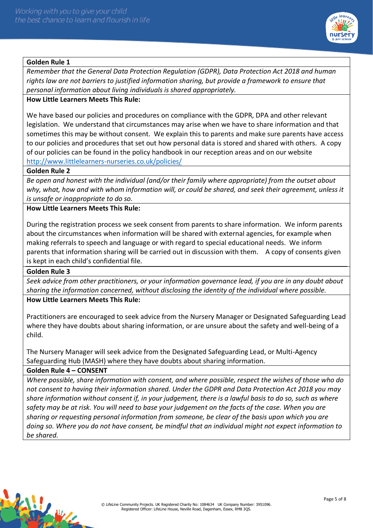

### **Golden Rule 1**

*Remember that the General Data Protection Regulation (GDPR), Data Protection Act 2018 and human rights law are not barriers to justified information sharing, but provide a framework to ensure that personal information about living individuals is shared appropriately.* 

#### **How Little Learners Meets This Rule:**

We have based our policies and procedures on compliance with the GDPR, DPA and other relevant legislation. We understand that circumstances may arise when we have to share information and that sometimes this may be without consent. We explain this to parents and make sure parents have access to our policies and procedures that set out how personal data is stored and shared with others. A copy of our policies can be found in the policy handbook in our reception areas and on our website <http://www.littlelearners-nurseries.co.uk/policies/>

#### **Golden Rule 2**

*Be open and honest with the individual (and/or their family where appropriate) from the outset about why, what, how and with whom information will, or could be shared, and seek their agreement, unless it is unsafe or inappropriate to do so.* 

### **How Little Learners Meets This Rule:**

During the registration process we seek consent from parents to share information. We inform parents about the circumstances when information will be shared with external agencies, for example when making referrals to speech and language or with regard to special educational needs. We inform parents that information sharing will be carried out in discussion with them. A copy of consents given is kept in each child's confidential file.

#### **Golden Rule 3**

*Seek advice from other practitioners, or your information governance lead, if you are in any doubt about sharing the information concerned, without disclosing the identity of the individual where possible.* 

### **How Little Learners Meets This Rule:**

Practitioners are encouraged to seek advice from the Nursery Manager or Designated Safeguarding Lead where they have doubts about sharing information, or are unsure about the safety and well-being of a child.

The Nursery Manager will seek advice from the Designated Safeguarding Lead, or Multi-Agency Safeguarding Hub (MASH) where they have doubts about sharing information.

#### **Golden Rule 4 – CONSENT**

*Where possible, share information with consent, and where possible, respect the wishes of those who do not consent to having their information shared. Under the GDPR and Data Protection Act 2018 you may share information without consent if, in your judgement, there is a lawful basis to do so, such as where safety may be at risk. You will need to base your judgement on the facts of the case. When you are sharing or requesting personal information from someone, be clear of the basis upon which you are doing so. Where you do not have consent, be mindful that an individual might not expect information to be shared.*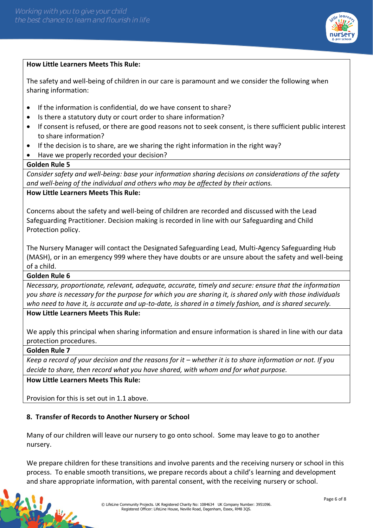

#### **How Little Learners Meets This Rule:**

The safety and well-being of children in our care is paramount and we consider the following when sharing information:

- If the information is confidential, do we have consent to share?
- Is there a statutory duty or court order to share information?
- If consent is refused, or there are good reasons not to seek consent, is there sufficient public interest to share information?
- If the decision is to share, are we sharing the right information in the right way?
- Have we properly recorded your decision?

#### **Golden Rule 5**

*Consider safety and well-being: base your information sharing decisions on considerations of the safety and well-being of the individual and others who may be affected by their actions.* 

### **How Little Learners Meets This Rule:**

Concerns about the safety and well-being of children are recorded and discussed with the Lead Safeguarding Practitioner. Decision making is recorded in line with our Safeguarding and Child Protection policy.

The Nursery Manager will contact the Designated Safeguarding Lead, Multi-Agency Safeguarding Hub (MASH), or in an emergency 999 where they have doubts or are unsure about the safety and well-being of a child.

#### **Golden Rule 6**

*Necessary, proportionate, relevant, adequate, accurate, timely and secure: ensure that the information you share is necessary for the purpose for which you are sharing it, is shared only with those individuals who need to have it, is accurate and up-to-date, is shared in a timely fashion, and is shared securely.*

# **How Little Learners Meets This Rule:**

We apply this principal when sharing information and ensure information is shared in line with our data protection procedures.

#### **Golden Rule 7**

*Keep a record of your decision and the reasons for it – whether it is to share information or not. If you decide to share, then record what you have shared, with whom and for what purpose.* 

**How Little Learners Meets This Rule:**

Provision for this is set out in 1.1 above.

### **8. Transfer of Records to Another Nursery or School**

Many of our children will leave our nursery to go onto school. Some may leave to go to another nursery.

We prepare children for these transitions and involve parents and the receiving nursery or school in this process. To enable smooth transitions, we prepare records about a child's learning and development and share appropriate information, with parental consent, with the receiving nursery or school.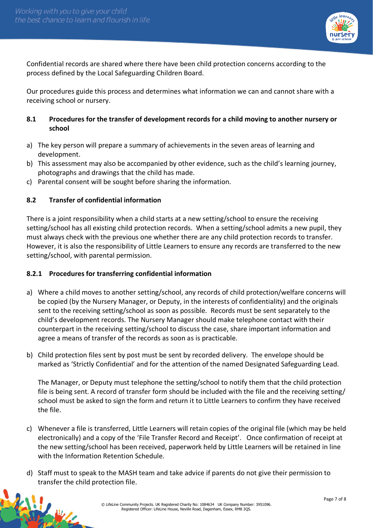

Confidential records are shared where there have been child protection concerns according to the process defined by the Local Safeguarding Children Board.

Our procedures guide this process and determines what information we can and cannot share with a receiving school or nursery.

### **8.1 Procedures for the transfer of development records for a child moving to another nursery or school**

- a) The key person will prepare a summary of achievements in the seven areas of learning and development.
- b) This assessment may also be accompanied by other evidence, such as the child's learning journey, photographs and drawings that the child has made.
- c) Parental consent will be sought before sharing the information.

### **8.2 Transfer of confidential information**

There is a joint responsibility when a child starts at a new setting/school to ensure the receiving setting/school has all existing child protection records. When a setting/school admits a new pupil, they must always check with the previous one whether there are any child protection records to transfer. However, it is also the responsibility of Little Learners to ensure any records are transferred to the new setting/school, with parental permission.

#### **8.2.1 Procedures for transferring confidential information**

- a) Where a child moves to another setting/school, any records of child protection/welfare concerns will be copied (by the Nursery Manager, or Deputy, in the interests of confidentiality) and the originals sent to the receiving setting/school as soon as possible. Records must be sent separately to the child's development records. The Nursery Manager should make telephone contact with their counterpart in the receiving setting/school to discuss the case, share important information and agree a means of transfer of the records as soon as is practicable.
- b) Child protection files sent by post must be sent by recorded delivery. The envelope should be marked as 'Strictly Confidential' and for the attention of the named Designated Safeguarding Lead.

The Manager, or Deputy must telephone the setting/school to notify them that the child protection file is being sent. A record of transfer form should be included with the file and the receiving setting/ school must be asked to sign the form and return it to Little Learners to confirm they have received the file.

- c) Whenever a file is transferred, Little Learners will retain copies of the original file (which may be held electronically) and a copy of the 'File Transfer Record and Receipt'. Once confirmation of receipt at the new setting/school has been received, paperwork held by Little Learners will be retained in line with the Information Retention Schedule.
- d) Staff must to speak to the MASH team and take advice if parents do not give their permission to transfer the child protection file.